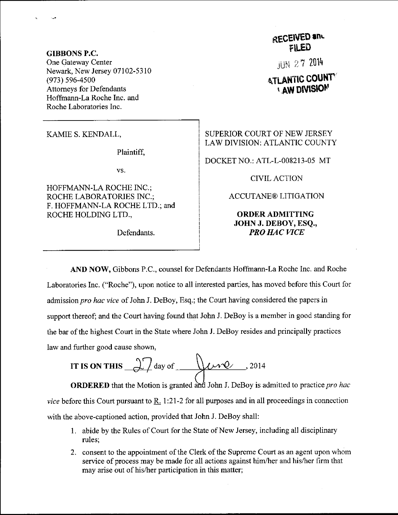GIBBONS P.C. One Gateway Center Newark, New Jersey 07102-5310 (973) s96-4500 Attomeys for Defendants Hoffmann-La Roche Inc. and Roche Laboratories Inc.

KAMIE S. KENDALL,

Plaintiff,

vs.

HOFFMANN-LA ROCHE NC.; ROCHE LABORATORIES INC.; F. HOFFMANN-LA ROCHE LTD.; and ROCHE HOLDING LTD.,

RECEIVED and FILED

**JUN 27 2014** 

## **ATLANTIC COUNTY LAW DIVISION**

SUPERIOR COURT OF NEW JERSEY LAW DIVISION: ATLANTIC COUNTY

DOCKET NO.: ATL-L-008213-05 MT

CIVILACTION

ACCUTANE@ LITIGATION

## ORDERADMITTING JOHN J. DEBOY, ESQ., Defendants. PRO HAC VICE

AND NOW, Gibbons P.C., counsel for Defendants Hofftnann-La Roche Inc. and Roche Laboratories Inc. ("Roche"), upon notice to all interested parties, has moved before this Court for admission pro hac vice of John J. DeBoy, Esq.; the Court having considered the papers in support thereof; and the Court having found that John J. DeBoy is a member in good standing for the bar of the highest Court in the State where John J. DeBoy resides and principally practices law and further good cause shown,

IT IS ON THIS 
$$
\frac{27}{\text{day of}}
$$
  $\frac{1}{\text{day 0}}$ , 2014

**ORDERED** that the Motion is granted and John J. DeBoy is admitted to practice *pro hac vice* before this Court pursuant to R. 1:21-2 for all purposes and in all proceedings in connection with the above-captioned action, provided that John J. DeBoy shall:

- <sup>I</sup>. abide by the Rules of Courl for the State of New Jersey, including all disciplinary rules;
- 2. consent to the appointment of the Clerk of the Supreme Court as an agent upon whom service of process may be made for all actions against him/her and his/her firm that may arise out of his/her participation in this matter;